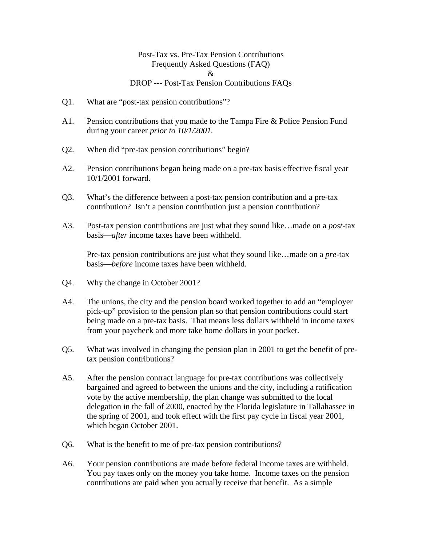## Post-Tax vs. Pre-Tax Pension Contributions Frequently Asked Questions (FAQ) & DROP --- Post-Tax Pension Contributions FAQs

- Q1. What are "post-tax pension contributions"?
- A1. Pension contributions that you made to the Tampa Fire & Police Pension Fund during your career *prior to 10/1/2001.*
- Q2. When did "pre-tax pension contributions" begin?
- A2. Pension contributions began being made on a pre-tax basis effective fiscal year 10/1/2001 forward.
- Q3. What's the difference between a post-tax pension contribution and a pre-tax contribution? Isn't a pension contribution just a pension contribution?
- A3. Post-tax pension contributions are just what they sound like…made on a *post*-tax basis—*after* income taxes have been withheld.

Pre-tax pension contributions are just what they sound like…made on a *pre*-tax basis—*before* income taxes have been withheld.

- Q4. Why the change in October 2001?
- A4. The unions, the city and the pension board worked together to add an "employer pick-up" provision to the pension plan so that pension contributions could start being made on a pre-tax basis. That means less dollars withheld in income taxes from your paycheck and more take home dollars in your pocket.
- Q5. What was involved in changing the pension plan in 2001 to get the benefit of pretax pension contributions?
- A5. After the pension contract language for pre-tax contributions was collectively bargained and agreed to between the unions and the city, including a ratification vote by the active membership, the plan change was submitted to the local delegation in the fall of 2000, enacted by the Florida legislature in Tallahassee in the spring of 2001, and took effect with the first pay cycle in fiscal year 2001, which began October 2001.
- Q6. What is the benefit to me of pre-tax pension contributions?
- A6. Your pension contributions are made before federal income taxes are withheld. You pay taxes only on the money you take home. Income taxes on the pension contributions are paid when you actually receive that benefit. As a simple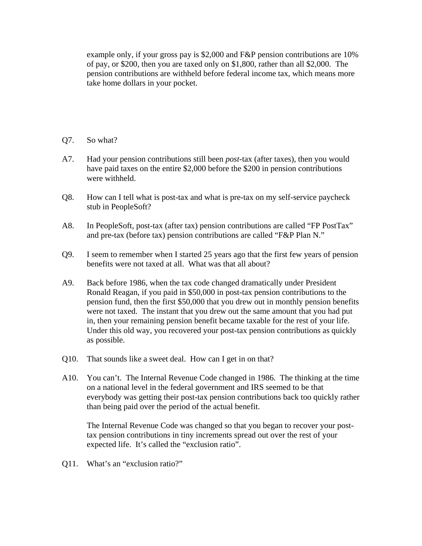example only, if your gross pay is \$2,000 and F&P pension contributions are 10% of pay, or \$200, then you are taxed only on \$1,800, rather than all \$2,000. The pension contributions are withheld before federal income tax, which means more take home dollars in your pocket.

- Q7. So what?
- A7. Had your pension contributions still been *post*-tax (after taxes), then you would have paid taxes on the entire \$2,000 before the \$200 in pension contributions were withheld.
- Q8. How can I tell what is post-tax and what is pre-tax on my self-service paycheck stub in PeopleSoft?
- A8. In PeopleSoft, post-tax (after tax) pension contributions are called "FP PostTax" and pre-tax (before tax) pension contributions are called "F&P Plan N."
- Q9. I seem to remember when I started 25 years ago that the first few years of pension benefits were not taxed at all. What was that all about?
- A9. Back before 1986, when the tax code changed dramatically under President Ronald Reagan, if you paid in \$50,000 in post-tax pension contributions to the pension fund, then the first \$50,000 that you drew out in monthly pension benefits were not taxed. The instant that you drew out the same amount that you had put in, then your remaining pension benefit became taxable for the rest of your life. Under this old way, you recovered your post-tax pension contributions as quickly as possible.
- Q10. That sounds like a sweet deal. How can I get in on that?
- A10. You can't. The Internal Revenue Code changed in 1986. The thinking at the time on a national level in the federal government and IRS seemed to be that everybody was getting their post-tax pension contributions back too quickly rather than being paid over the period of the actual benefit.

The Internal Revenue Code was changed so that you began to recover your posttax pension contributions in tiny increments spread out over the rest of your expected life. It's called the "exclusion ratio".

Q11. What's an "exclusion ratio?"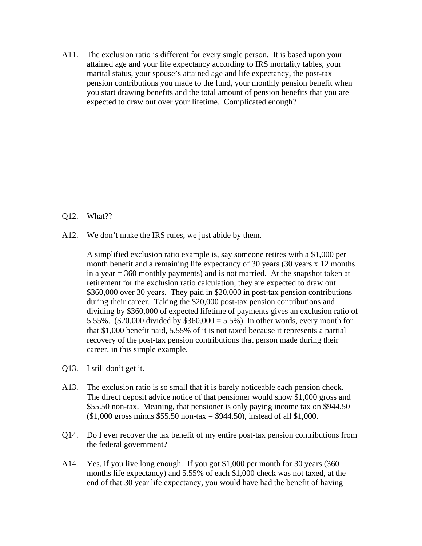A11. The exclusion ratio is different for every single person. It is based upon your attained age and your life expectancy according to IRS mortality tables, your marital status, your spouse's attained age and life expectancy, the post-tax pension contributions you made to the fund, your monthly pension benefit when you start drawing benefits and the total amount of pension benefits that you are expected to draw out over your lifetime. Complicated enough?

- Q12. What??
- A12. We don't make the IRS rules, we just abide by them.

 A simplified exclusion ratio example is, say someone retires with a \$1,000 per month benefit and a remaining life expectancy of 30 years (30 years x 12 months in a year = 360 monthly payments) and is not married. At the snapshot taken at retirement for the exclusion ratio calculation, they are expected to draw out \$360,000 over 30 years. They paid in \$20,000 in post-tax pension contributions during their career. Taking the \$20,000 post-tax pension contributions and dividing by \$360,000 of expected lifetime of payments gives an exclusion ratio of 5.55%. (\$20,000 divided by \$360,000 = 5.5%) In other words, every month for that \$1,000 benefit paid, 5.55% of it is not taxed because it represents a partial recovery of the post-tax pension contributions that person made during their career, in this simple example.

- Q13. I still don't get it.
- A13. The exclusion ratio is so small that it is barely noticeable each pension check. The direct deposit advice notice of that pensioner would show \$1,000 gross and \$55.50 non-tax. Meaning, that pensioner is only paying income tax on \$944.50  $($1,000 \text{ gross minus } $55.50 \text{ non-tax} = $944.50), \text{ instead of all $1,000.}$
- Q14. Do I ever recover the tax benefit of my entire post-tax pension contributions from the federal government?
- A14. Yes, if you live long enough. If you got \$1,000 per month for 30 years (360 months life expectancy) and 5.55% of each \$1,000 check was not taxed, at the end of that 30 year life expectancy, you would have had the benefit of having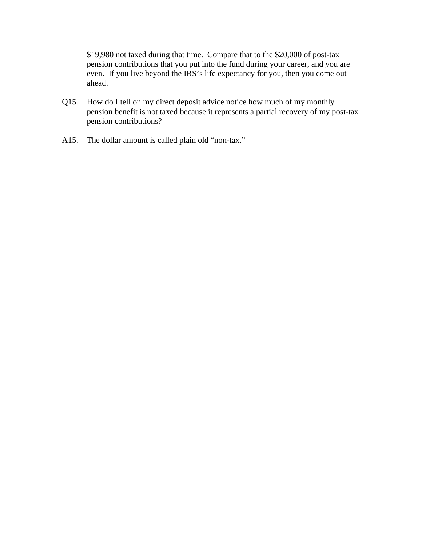\$19,980 not taxed during that time. Compare that to the \$20,000 of post-tax pension contributions that you put into the fund during your career, and you are even. If you live beyond the IRS's life expectancy for you, then you come out ahead.

- Q15. How do I tell on my direct deposit advice notice how much of my monthly pension benefit is not taxed because it represents a partial recovery of my post-tax pension contributions?
- A15. The dollar amount is called plain old "non-tax."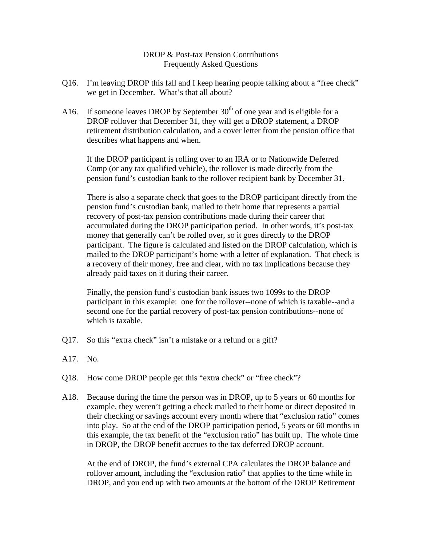DROP & Post-tax Pension Contributions Frequently Asked Questions

- Q16. I'm leaving DROP this fall and I keep hearing people talking about a "free check" we get in December. What's that all about?
- A16. If someone leaves DROP by September  $30<sup>th</sup>$  of one year and is eligible for a DROP rollover that December 31, they will get a DROP statement, a DROP retirement distribution calculation, and a cover letter from the pension office that describes what happens and when.

 If the DROP participant is rolling over to an IRA or to Nationwide Deferred Comp (or any tax qualified vehicle), the rollover is made directly from the pension fund's custodian bank to the rollover recipient bank by December 31.

There is also a separate check that goes to the DROP participant directly from the pension fund's custodian bank, mailed to their home that represents a partial recovery of post-tax pension contributions made during their career that accumulated during the DROP participation period. In other words, it's post-tax money that generally can't be rolled over, so it goes directly to the DROP participant. The figure is calculated and listed on the DROP calculation, which is mailed to the DROP participant's home with a letter of explanation. That check is a recovery of their money, free and clear, with no tax implications because they already paid taxes on it during their career.

Finally, the pension fund's custodian bank issues two 1099s to the DROP participant in this example: one for the rollover--none of which is taxable--and a second one for the partial recovery of post-tax pension contributions--none of which is taxable.

- Q17. So this "extra check" isn't a mistake or a refund or a gift?
- A17. No.
- Q18. How come DROP people get this "extra check" or "free check"?
- A18. Because during the time the person was in DROP, up to 5 years or 60 months for example, they weren't getting a check mailed to their home or direct deposited in their checking or savings account every month where that "exclusion ratio" comes into play. So at the end of the DROP participation period, 5 years or 60 months in this example, the tax benefit of the "exclusion ratio" has built up. The whole time in DROP, the DROP benefit accrues to the tax deferred DROP account.

At the end of DROP, the fund's external CPA calculates the DROP balance and rollover amount, including the "exclusion ratio" that applies to the time while in DROP, and you end up with two amounts at the bottom of the DROP Retirement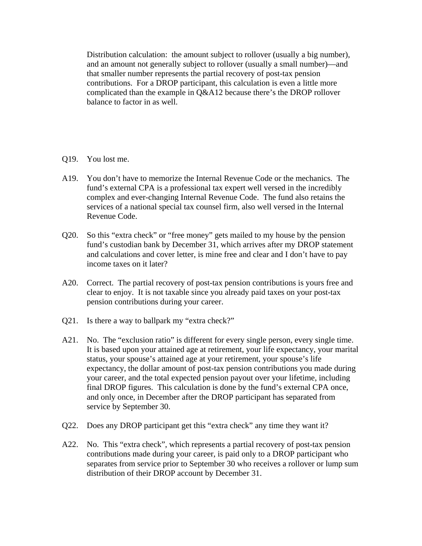Distribution calculation: the amount subject to rollover (usually a big number), and an amount not generally subject to rollover (usually a small number)—and that smaller number represents the partial recovery of post-tax pension contributions. For a DROP participant, this calculation is even a little more complicated than the example in Q&A12 because there's the DROP rollover balance to factor in as well.

- Q19. You lost me.
- A19. You don't have to memorize the Internal Revenue Code or the mechanics. The fund's external CPA is a professional tax expert well versed in the incredibly complex and ever-changing Internal Revenue Code. The fund also retains the services of a national special tax counsel firm, also well versed in the Internal Revenue Code.
- Q20. So this "extra check" or "free money" gets mailed to my house by the pension fund's custodian bank by December 31, which arrives after my DROP statement and calculations and cover letter, is mine free and clear and I don't have to pay income taxes on it later?
- A20. Correct. The partial recovery of post-tax pension contributions is yours free and clear to enjoy. It is not taxable since you already paid taxes on your post-tax pension contributions during your career.
- Q21. Is there a way to ballpark my "extra check?"
- A21. No. The "exclusion ratio" is different for every single person, every single time. It is based upon your attained age at retirement, your life expectancy, your marital status, your spouse's attained age at your retirement, your spouse's life expectancy, the dollar amount of post-tax pension contributions you made during your career, and the total expected pension payout over your lifetime, including final DROP figures. This calculation is done by the fund's external CPA once, and only once, in December after the DROP participant has separated from service by September 30.
- Q22. Does any DROP participant get this "extra check" any time they want it?
- A22. No. This "extra check", which represents a partial recovery of post-tax pension contributions made during your career, is paid only to a DROP participant who separates from service prior to September 30 who receives a rollover or lump sum distribution of their DROP account by December 31.